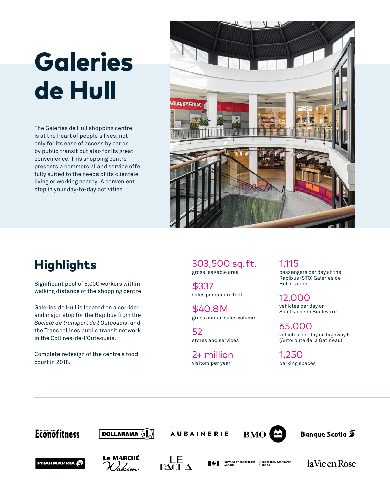# **Galeries** de Hull

The Galeries de Hull shopping centre is at the heart of people's lives, not only for its ease of access by car or by public transit but also for its great convenience. This shopping centre presents a commercial and service offer fully suited to the needs of its clientele living or working nearby. A convenient stop in your day-to-day activities.



## **Highlights**

Significant pool of 5,000 workers within walking distance of the shopping centre.

Galeries de Hull is located on a corridor and major stop for the Rapibus from the *Société de transport de l'Outaouais*, and the Transcollines public transit network in the Collines-de-l'Outaouais.

Complete redesign of the centre's food court in 2018.

303,500 sq. ft. gross leasable area

\$337  sales per square foot

\$40.8 M gross annual sales volume

52 stores and services

2+ million visitors per year

1,115 passengers per day at the Rapibus (STO) Galeries de Hull station

12,000 vehicles per day on Saint-Joseph Boulevard

65,000 vehicles per day on highway 5 (Autoroute de la Gatineau)

1,250 parking spaces

## **Econofitness**



**AUBAINERIE** 



Banque Scotia 5









laVie en Rose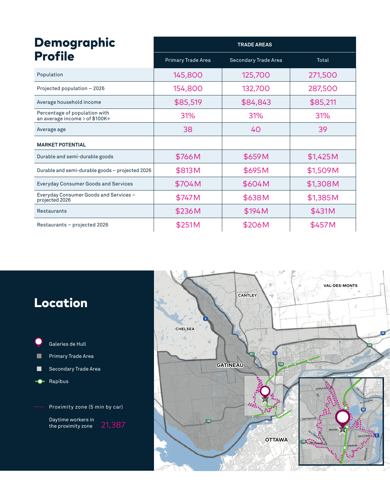| <b>Demographic</b><br><b>Profile</b>                            | <b>TRADE AREAS</b> |                             |          |
|-----------------------------------------------------------------|--------------------|-----------------------------|----------|
|                                                                 | Primary Trade Area | <b>Secondary Trade Area</b> | Total    |
| Population                                                      | 145,800            | 125,700                     | 271,500  |
| Projected population - 2026                                     | 154,800            | 132,700                     | 287,500  |
| Average household income                                        | \$85,519           | \$84,843                    | \$85,211 |
| Percentage of population with<br>an average income > of \$100K+ | 31%                | 31%                         | 31%      |
| Average age                                                     | 38                 | 40                          | 39       |
| <b>MARKET POTENTIAL</b>                                         |                    |                             |          |
| Durable and semi-durable goods                                  | \$766M             | \$659M                      | \$1,425M |
| Durable and semi-durable goods - projected 2026                 | \$813M             | \$695M                      | \$1,509M |
| <b>Everyday Consumer Goods and Services</b>                     | \$704M             | \$604M                      | \$1,308M |
| Everyday Consumer Goods and Services -<br>projected 2026        | \$747M             | \$638M                      | \$1,385M |
| Restaurants                                                     | \$236M             | \$194M                      | \$431M   |
| Restaurants - projected 2026                                    | \$251M             | \$206M                      | \$457M   |